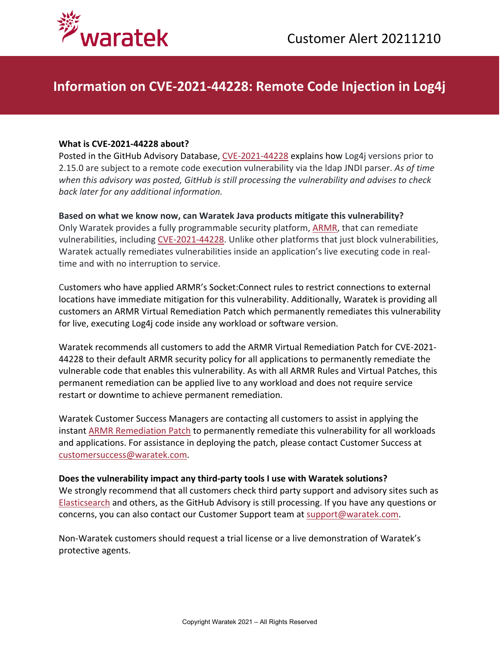



## **Information on CVE-2021-44228: Remote Code Injection in Log4j**

## **What is CVE-2021-44228 about?**

Posted in the GitHub Advisory Database, [CVE-2021-44228](https://github.com/advisories/GHSA-jfh8-c2jp-5v3q) explains how Log4j versions prior to 2.15.0 are subject to a remote code execution vulnerability via the ldap JNDI parser. *As of time when this advisory was posted, GitHub is still processing the vulnerability and advises to check back later for any additional information.*

**Based on what we know now, can Waratek Java products mitigate this vulnerability?** Only Waratek provides a fully programmable security platform, [ARMR,](https://www.waratek.com/application-security-platform/) that can remediate vulnerabilities, including [CVE-2021-44228.](https://github.com/advisories/GHSA-jfh8-c2jp-5v3q) Unlike other platforms that just block vulnerabilities, Waratek actually remediates vulnerabilities inside an application's live executing code in realtime and with no interruption to service.

Customers who have applied ARMR's Socket:Connect rules to restrict connections to external locations have immediate mitigation for this vulnerability. Additionally, Waratek is providing all customers an ARMR Virtual Remediation Patch which permanently remediates this vulnerability for live, executing Log4j code inside any workload or software version.

Waratek recommends all customers to add the ARMR Virtual Remediation Patch for CVE-2021- 44228 to their default ARMR security policy for all applications to permanently remediate the vulnerable code that enables this vulnerability. As with all ARMR Rules and Virtual Patches, this permanent remediation can be applied live to any workload and does not require service restart or downtime to achieve permanent remediation.

Waratek Customer Success Managers are contacting all customers to assist in applying the instant [ARMR Remediation Patch](https://www.waratek.com/virtual-patching/) to permanently remediate this vulnerability for all workloads and applications. For assistance in deploying the patch, please contact Customer Success at [customersuccess@waratek.com.](mailto:customersuccess@waratek.com)

## **Does the vulnerability impact any third-party tools I use with Waratek solutions?**

We strongly recommend that all customers check third party support and advisory sites such as [Elasticsearch](https://discuss.elastic.co/c/announcements/security-announcements/31) and others, as the GitHub Advisory is still processing. If you have any questions or concerns, you can also contact our Customer Support team at [support@waratek.com.](mailto:support@waratek.com)

Non-Waratek customers should request a trial license or a live demonstration of Waratek's protective agents.